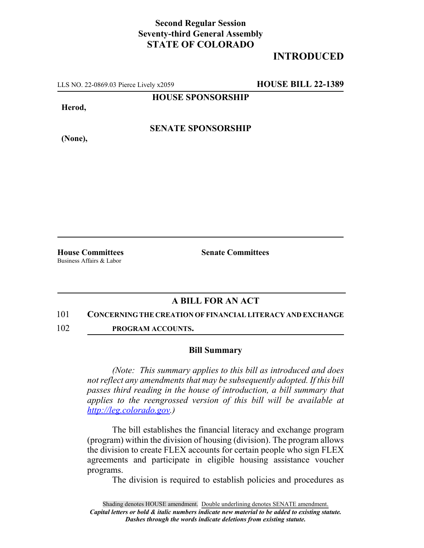## **Second Regular Session Seventy-third General Assembly STATE OF COLORADO**

# **INTRODUCED**

LLS NO. 22-0869.03 Pierce Lively x2059 **HOUSE BILL 22-1389**

**HOUSE SPONSORSHIP**

**Herod,**

**(None),**

**SENATE SPONSORSHIP**

Business Affairs & Labor

**House Committees Senate Committees**

## **A BILL FOR AN ACT**

#### 101 **CONCERNING THE CREATION OF FINANCIAL LITERACY AND EXCHANGE**

102 **PROGRAM ACCOUNTS.**

### **Bill Summary**

*(Note: This summary applies to this bill as introduced and does not reflect any amendments that may be subsequently adopted. If this bill passes third reading in the house of introduction, a bill summary that applies to the reengrossed version of this bill will be available at http://leg.colorado.gov.)*

The bill establishes the financial literacy and exchange program (program) within the division of housing (division). The program allows the division to create FLEX accounts for certain people who sign FLEX agreements and participate in eligible housing assistance voucher programs.

The division is required to establish policies and procedures as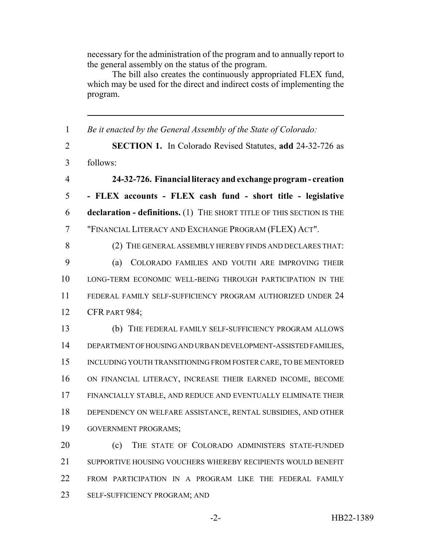necessary for the administration of the program and to annually report to the general assembly on the status of the program.

The bill also creates the continuously appropriated FLEX fund, which may be used for the direct and indirect costs of implementing the program.

| 1              | Be it enacted by the General Assembly of the State of Colorado:       |
|----------------|-----------------------------------------------------------------------|
| $\overline{2}$ | <b>SECTION 1.</b> In Colorado Revised Statutes, add 24-32-726 as      |
| 3              | follows:                                                              |
| 4              | 24-32-726. Financial literacy and exchange program - creation         |
| 5              | - FLEX accounts - FLEX cash fund - short title - legislative          |
| 6              | declaration - definitions. (1) THE SHORT TITLE OF THIS SECTION IS THE |
| 7              | "FINANCIAL LITERACY AND EXCHANGE PROGRAM (FLEX) ACT".                 |
| 8              | (2) THE GENERAL ASSEMBLY HEREBY FINDS AND DECLARES THAT:              |
| 9              | COLORADO FAMILIES AND YOUTH ARE IMPROVING THEIR<br>(a)                |
| 10             | LONG-TERM ECONOMIC WELL-BEING THROUGH PARTICIPATION IN THE            |
| 11             | FEDERAL FAMILY SELF-SUFFICIENCY PROGRAM AUTHORIZED UNDER 24           |
| 12             | CFR PART 984;                                                         |
| 13             | (b) THE FEDERAL FAMILY SELF-SUFFICIENCY PROGRAM ALLOWS                |
| 14             | DEPARTMENT OF HOUSING AND URBAN DEVELOPMENT-ASSISTED FAMILIES,        |
| 15             | INCLUDING YOUTH TRANSITIONING FROM FOSTER CARE, TO BE MENTORED        |
| 16             | ON FINANCIAL LITERACY, INCREASE THEIR EARNED INCOME, BECOME           |
| 17             | FINANCIALLY STABLE, AND REDUCE AND EVENTUALLY ELIMINATE THEIR         |
| 18             | DEPENDENCY ON WELFARE ASSISTANCE, RENTAL SUBSIDIES, AND OTHER         |
| 19             | <b>GOVERNMENT PROGRAMS;</b>                                           |
| 20             | (c)<br>THE STATE OF COLORADO ADMINISTERS STATE-FUNDED                 |
| 21             | SUPPORTIVE HOUSING VOUCHERS WHEREBY RECIPIENTS WOULD BENEFIT          |
| 22             | FROM PARTICIPATION IN A PROGRAM LIKE THE FEDERAL FAMILY               |
| 23             | SELF-SUFFICIENCY PROGRAM; AND                                         |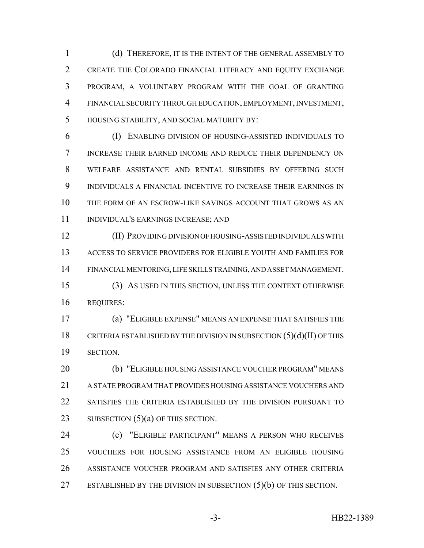(d) THEREFORE, IT IS THE INTENT OF THE GENERAL ASSEMBLY TO CREATE THE COLORADO FINANCIAL LITERACY AND EQUITY EXCHANGE PROGRAM, A VOLUNTARY PROGRAM WITH THE GOAL OF GRANTING FINANCIAL SECURITY THROUGH EDUCATION, EMPLOYMENT, INVESTMENT, HOUSING STABILITY, AND SOCIAL MATURITY BY:

 (I) ENABLING DIVISION OF HOUSING-ASSISTED INDIVIDUALS TO INCREASE THEIR EARNED INCOME AND REDUCE THEIR DEPENDENCY ON WELFARE ASSISTANCE AND RENTAL SUBSIDIES BY OFFERING SUCH INDIVIDUALS A FINANCIAL INCENTIVE TO INCREASE THEIR EARNINGS IN THE FORM OF AN ESCROW-LIKE SAVINGS ACCOUNT THAT GROWS AS AN INDIVIDUAL'S EARNINGS INCREASE; AND

 (II) PROVIDING DIVISION OF HOUSING-ASSISTED INDIVIDUALS WITH ACCESS TO SERVICE PROVIDERS FOR ELIGIBLE YOUTH AND FAMILIES FOR FINANCIAL MENTORING, LIFE SKILLS TRAINING, AND ASSET MANAGEMENT. (3) AS USED IN THIS SECTION, UNLESS THE CONTEXT OTHERWISE REQUIRES:

 (a) "ELIGIBLE EXPENSE" MEANS AN EXPENSE THAT SATISFIES THE CRITERIA ESTABLISHED BY THE DIVISION IN SUBSECTION (5)(d)(II) OF THIS SECTION.

 (b) "ELIGIBLE HOUSING ASSISTANCE VOUCHER PROGRAM" MEANS A STATE PROGRAM THAT PROVIDES HOUSING ASSISTANCE VOUCHERS AND SATISFIES THE CRITERIA ESTABLISHED BY THE DIVISION PURSUANT TO 23 SUBSECTION  $(5)(a)$  OF THIS SECTION.

 (c) "ELIGIBLE PARTICIPANT" MEANS A PERSON WHO RECEIVES VOUCHERS FOR HOUSING ASSISTANCE FROM AN ELIGIBLE HOUSING ASSISTANCE VOUCHER PROGRAM AND SATISFIES ANY OTHER CRITERIA 27 ESTABLISHED BY THE DIVISION IN SUBSECTION  $(5)(b)$  OF THIS SECTION.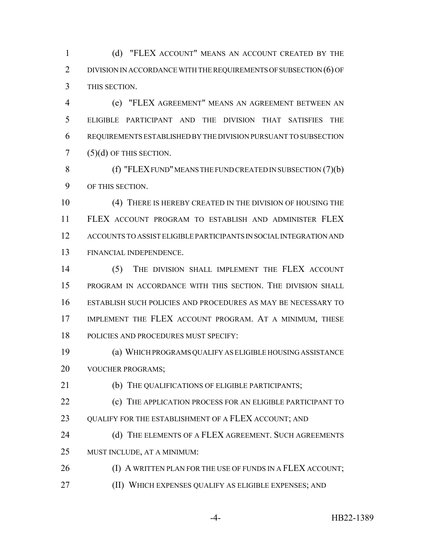(d) "FLEX ACCOUNT" MEANS AN ACCOUNT CREATED BY THE 2 DIVISION IN ACCORDANCE WITH THE REQUIREMENTS OF SUBSECTION (6) OF THIS SECTION.

 (e) "FLEX AGREEMENT" MEANS AN AGREEMENT BETWEEN AN ELIGIBLE PARTICIPANT AND THE DIVISION THAT SATISFIES THE REQUIREMENTS ESTABLISHED BY THE DIVISION PURSUANT TO SUBSECTION (5)(d) OF THIS SECTION.

 (f) "FLEX FUND" MEANS THE FUND CREATED IN SUBSECTION (7)(b) OF THIS SECTION.

 (4) THERE IS HEREBY CREATED IN THE DIVISION OF HOUSING THE FLEX ACCOUNT PROGRAM TO ESTABLISH AND ADMINISTER FLEX ACCOUNTS TO ASSIST ELIGIBLE PARTICIPANTS IN SOCIAL INTEGRATION AND FINANCIAL INDEPENDENCE.

 (5) THE DIVISION SHALL IMPLEMENT THE FLEX ACCOUNT PROGRAM IN ACCORDANCE WITH THIS SECTION. THE DIVISION SHALL ESTABLISH SUCH POLICIES AND PROCEDURES AS MAY BE NECESSARY TO 17 IMPLEMENT THE FLEX ACCOUNT PROGRAM. AT A MINIMUM, THESE POLICIES AND PROCEDURES MUST SPECIFY:

 (a) WHICH PROGRAMS QUALIFY AS ELIGIBLE HOUSING ASSISTANCE VOUCHER PROGRAMS;

21 (b) THE QUALIFICATIONS OF ELIGIBLE PARTICIPANTS;

**(c)** THE APPLICATION PROCESS FOR AN ELIGIBLE PARTICIPANT TO 23 QUALIFY FOR THE ESTABLISHMENT OF A FLEX ACCOUNT; AND

24 (d) THE ELEMENTS OF A FLEX AGREEMENT. SUCH AGREEMENTS MUST INCLUDE, AT A MINIMUM:

26 (I) A WRITTEN PLAN FOR THE USE OF FUNDS IN A FLEX ACCOUNT;

(II) WHICH EXPENSES QUALIFY AS ELIGIBLE EXPENSES; AND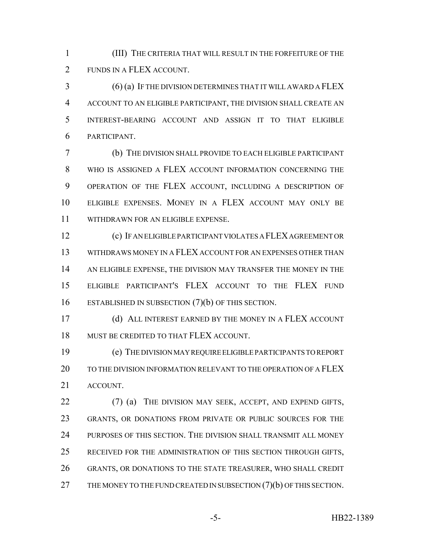(III) THE CRITERIA THAT WILL RESULT IN THE FORFEITURE OF THE FUNDS IN A FLEX ACCOUNT.

 (6) (a) IF THE DIVISION DETERMINES THAT IT WILL AWARD A FLEX ACCOUNT TO AN ELIGIBLE PARTICIPANT, THE DIVISION SHALL CREATE AN INTEREST-BEARING ACCOUNT AND ASSIGN IT TO THAT ELIGIBLE PARTICIPANT.

 (b) THE DIVISION SHALL PROVIDE TO EACH ELIGIBLE PARTICIPANT 8 WHO IS ASSIGNED A FLEX ACCOUNT INFORMATION CONCERNING THE OPERATION OF THE FLEX ACCOUNT, INCLUDING A DESCRIPTION OF ELIGIBLE EXPENSES. MONEY IN A FLEX ACCOUNT MAY ONLY BE WITHDRAWN FOR AN ELIGIBLE EXPENSE.

 (c) IF AN ELIGIBLE PARTICIPANT VIOLATES A FLEX AGREEMENT OR WITHDRAWS MONEY IN A FLEX ACCOUNT FOR AN EXPENSES OTHER THAN AN ELIGIBLE EXPENSE, THE DIVISION MAY TRANSFER THE MONEY IN THE ELIGIBLE PARTICIPANT'S FLEX ACCOUNT TO THE FLEX FUND ESTABLISHED IN SUBSECTION (7)(b) OF THIS SECTION.

17 (d) ALL INTEREST EARNED BY THE MONEY IN A FLEX ACCOUNT MUST BE CREDITED TO THAT FLEX ACCOUNT.

 (e) THE DIVISION MAY REQUIRE ELIGIBLE PARTICIPANTS TO REPORT 20 TO THE DIVISION INFORMATION RELEVANT TO THE OPERATION OF A FLEX ACCOUNT.

 (7) (a) THE DIVISION MAY SEEK, ACCEPT, AND EXPEND GIFTS, GRANTS, OR DONATIONS FROM PRIVATE OR PUBLIC SOURCES FOR THE PURPOSES OF THIS SECTION. THE DIVISION SHALL TRANSMIT ALL MONEY RECEIVED FOR THE ADMINISTRATION OF THIS SECTION THROUGH GIFTS, GRANTS, OR DONATIONS TO THE STATE TREASURER, WHO SHALL CREDIT 27 THE MONEY TO THE FUND CREATED IN SUBSECTION (7)(b) OF THIS SECTION.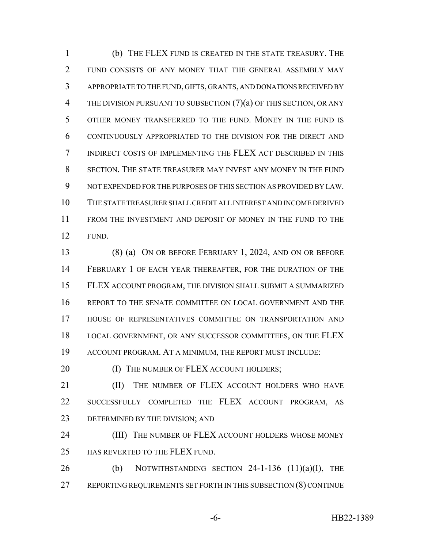(b) THE FLEX FUND IS CREATED IN THE STATE TREASURY. THE FUND CONSISTS OF ANY MONEY THAT THE GENERAL ASSEMBLY MAY APPROPRIATE TO THE FUND, GIFTS, GRANTS, AND DONATIONS RECEIVED BY 4 THE DIVISION PURSUANT TO SUBSECTION (7)(a) OF THIS SECTION, OR ANY OTHER MONEY TRANSFERRED TO THE FUND. MONEY IN THE FUND IS CONTINUOUSLY APPROPRIATED TO THE DIVISION FOR THE DIRECT AND INDIRECT COSTS OF IMPLEMENTING THE FLEX ACT DESCRIBED IN THIS SECTION. THE STATE TREASURER MAY INVEST ANY MONEY IN THE FUND NOT EXPENDED FOR THE PURPOSES OF THIS SECTION AS PROVIDED BY LAW. THE STATE TREASURER SHALL CREDIT ALL INTEREST AND INCOME DERIVED FROM THE INVESTMENT AND DEPOSIT OF MONEY IN THE FUND TO THE FUND.

 (8) (a) ON OR BEFORE FEBRUARY 1, 2024, AND ON OR BEFORE FEBRUARY 1 OF EACH YEAR THEREAFTER, FOR THE DURATION OF THE FLEX ACCOUNT PROGRAM, THE DIVISION SHALL SUBMIT A SUMMARIZED REPORT TO THE SENATE COMMITTEE ON LOCAL GOVERNMENT AND THE HOUSE OF REPRESENTATIVES COMMITTEE ON TRANSPORTATION AND 18 LOCAL GOVERNMENT, OR ANY SUCCESSOR COMMITTEES, ON THE FLEX ACCOUNT PROGRAM. AT A MINIMUM, THE REPORT MUST INCLUDE:

**(I) THE NUMBER OF FLEX ACCOUNT HOLDERS;** 

 (II) THE NUMBER OF FLEX ACCOUNT HOLDERS WHO HAVE SUCCESSFULLY COMPLETED THE FLEX ACCOUNT PROGRAM, AS 23 DETERMINED BY THE DIVISION; AND

**(III)** THE NUMBER OF FLEX ACCOUNT HOLDERS WHOSE MONEY 25 HAS REVERTED TO THE FLEX FUND.

26 (b) NOTWITHSTANDING SECTION -1-136  $(11)(a)(I)$ , THE 27 REPORTING REQUIREMENTS SET FORTH IN THIS SUBSECTION (8) CONTINUE